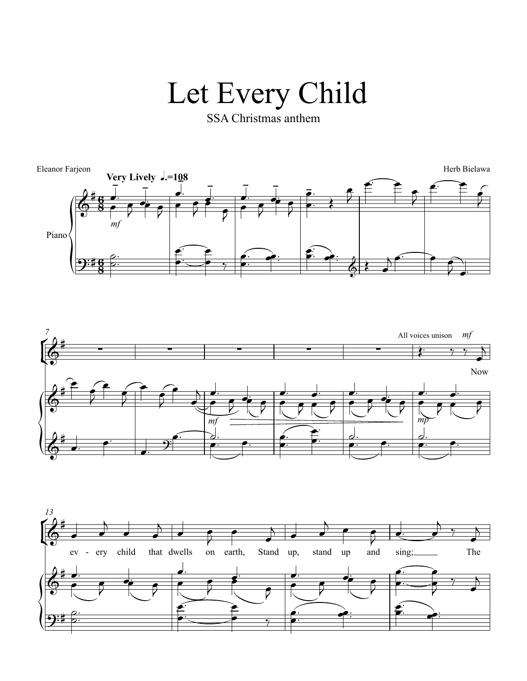## Let Every Child

SSA Christmas anthem





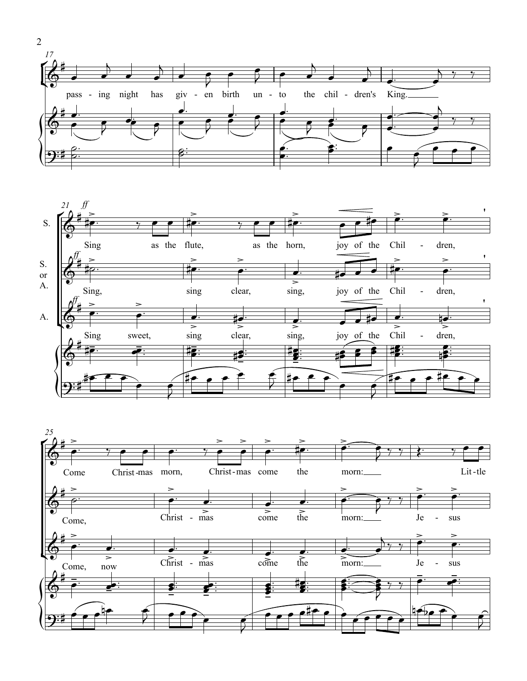



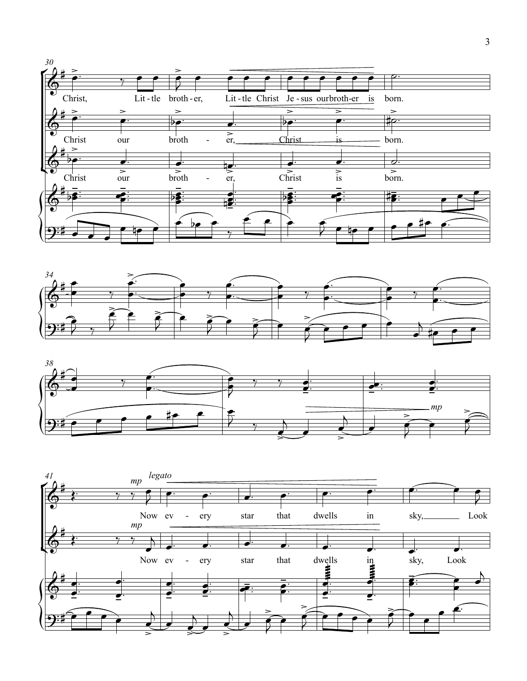





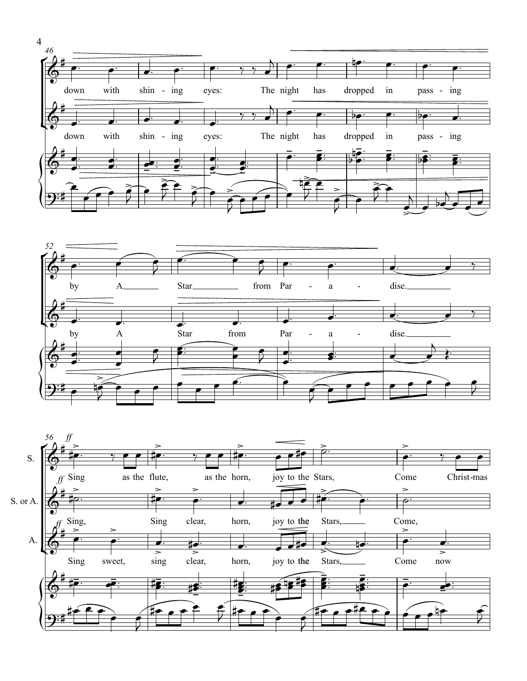



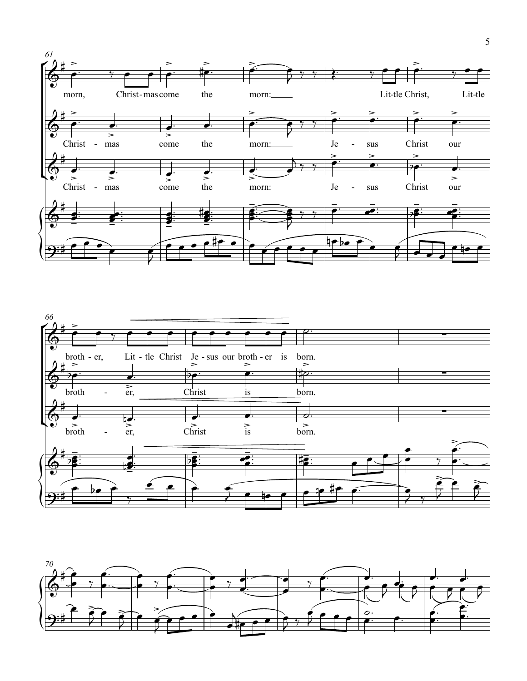



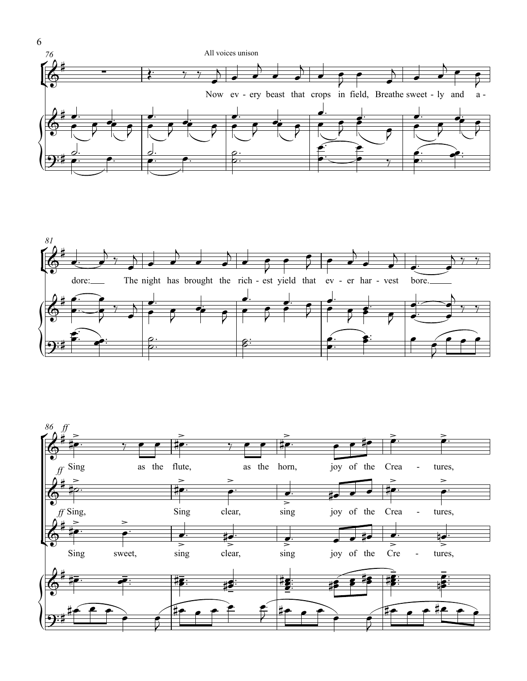



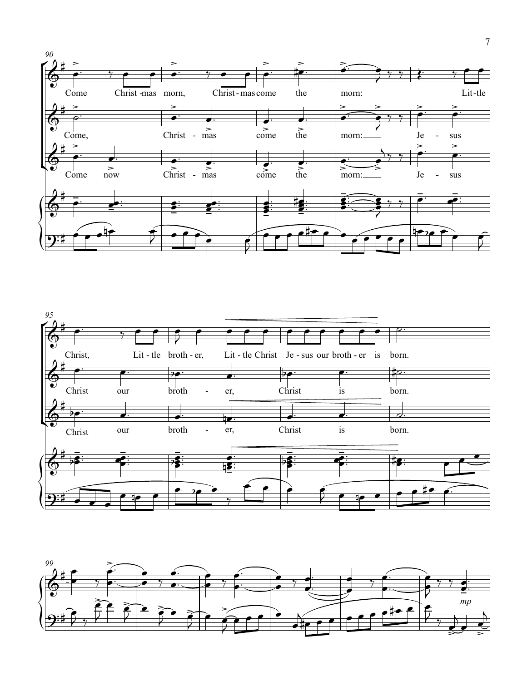



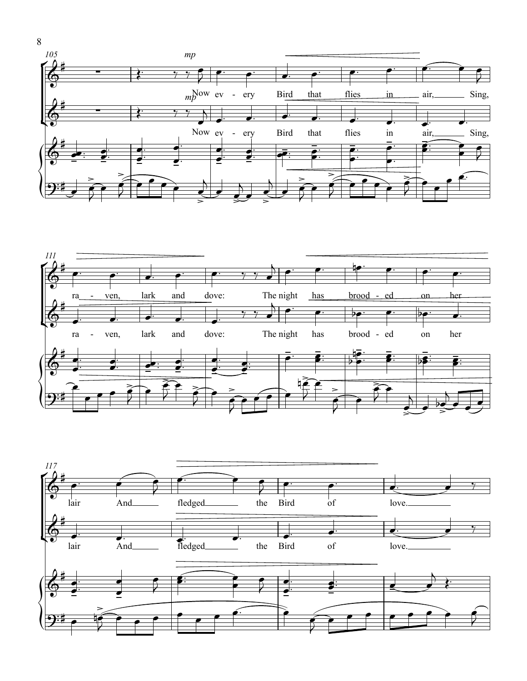



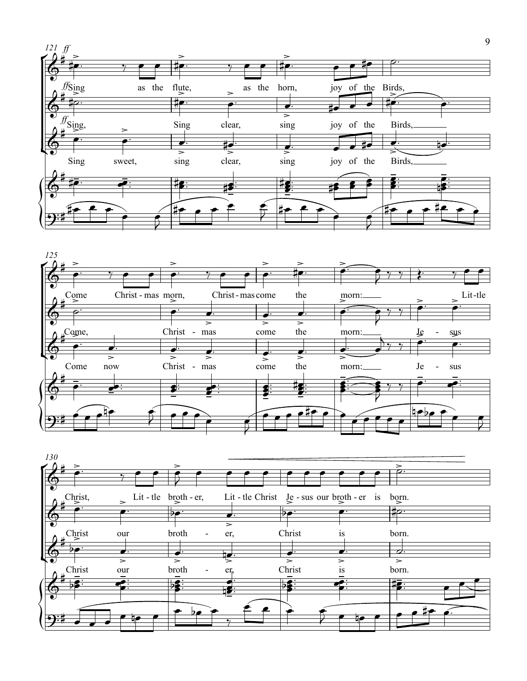



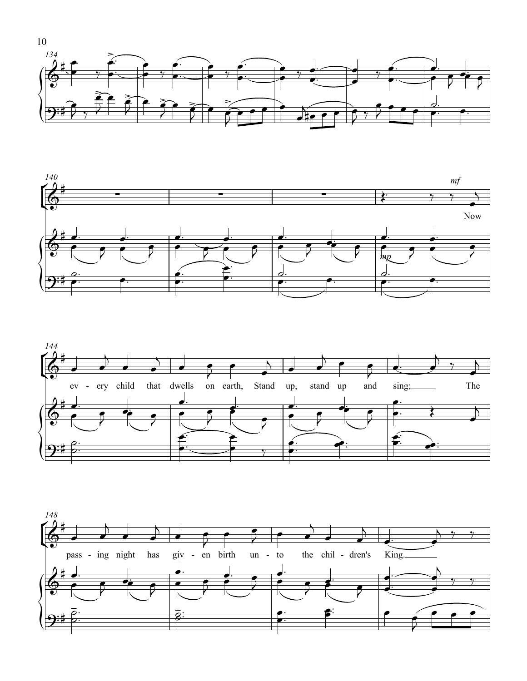





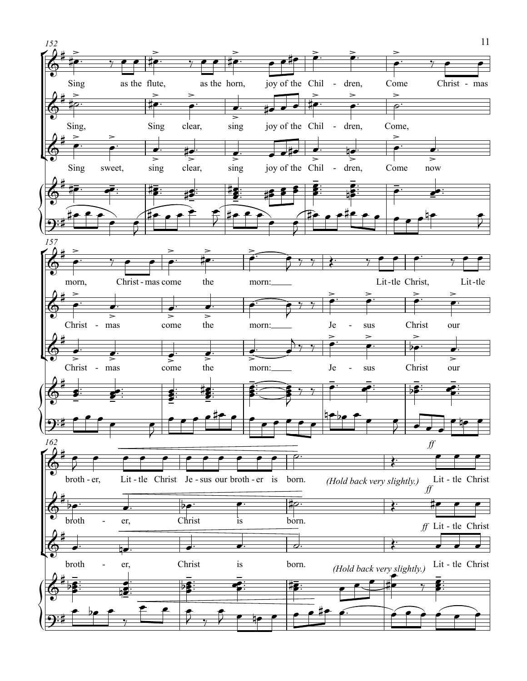